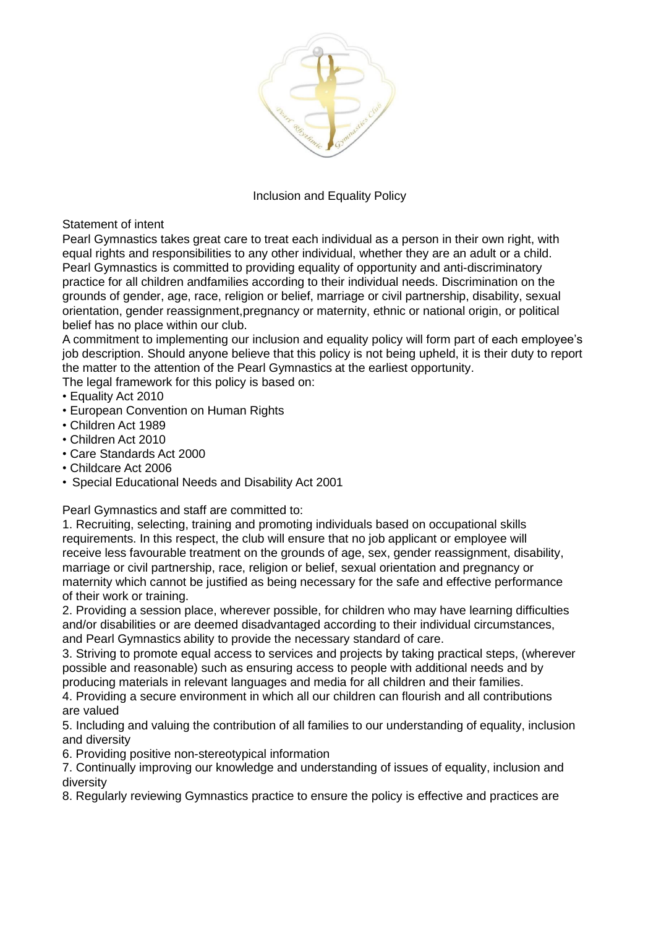

## Inclusion and Equality Policy

Statement of intent

Pearl Gymnastics takes great care to treat each individual as a person in their own right, with equal rights and responsibilities to any other individual, whether they are an adult or a child. Pearl Gymnastics is committed to providing equality of opportunity and anti-discriminatory practice for all children andfamilies according to their individual needs. Discrimination on the grounds of gender, age, race, religion or belief, marriage or civil partnership, disability, sexual orientation, gender reassignment,pregnancy or maternity, ethnic or national origin, or political belief has no place within our club.

A commitment to implementing our inclusion and equality policy will form part of each employee's job description. Should anyone believe that this policy is not being upheld, it is their duty to report the matter to the attention of the Pearl Gymnastics at the earliest opportunity.

The legal framework for this policy is based on:

- Equality Act 2010
- European Convention on Human Rights
- Children Act 1989
- Children Act 2010
- Care Standards Act 2000
- Childcare Act 2006
- Special Educational Needs and Disability Act 2001

Pearl Gymnastics and staff are committed to:

1. Recruiting, selecting, training and promoting individuals based on occupational skills requirements. In this respect, the club will ensure that no job applicant or employee will receive less favourable treatment on the grounds of age, sex, gender reassignment, disability, marriage or civil partnership, race, religion or belief, sexual orientation and pregnancy or maternity which cannot be justified as being necessary for the safe and effective performance of their work or training.

2. Providing a session place, wherever possible, for children who may have learning difficulties and/or disabilities or are deemed disadvantaged according to their individual circumstances, and Pearl Gymnastics ability to provide the necessary standard of care.

3. Striving to promote equal access to services and projects by taking practical steps, (wherever possible and reasonable) such as ensuring access to people with additional needs and by producing materials in relevant languages and media for all children and their families.

4. Providing a secure environment in which all our children can flourish and all contributions are valued

5. Including and valuing the contribution of all families to our understanding of equality, inclusion and diversity

6. Providing positive non-stereotypical information

7. Continually improving our knowledge and understanding of issues of equality, inclusion and diversity

8. Regularly reviewing Gymnastics practice to ensure the policy is effective and practices are